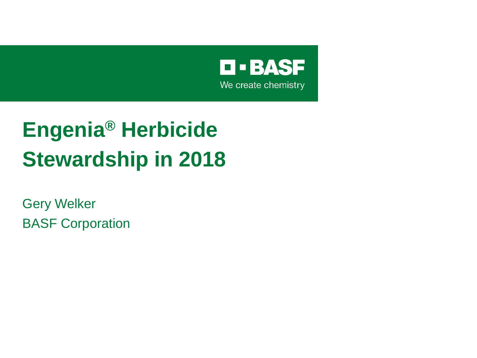

## **Engenia® Herbicide Stewardship in 2018**

Gery Welker BASF Corporation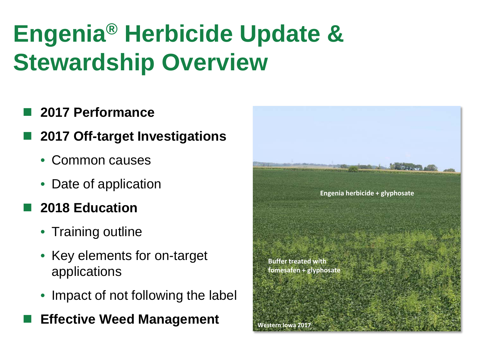# **Engenia® Herbicide Update & Stewardship Overview**

### **2017 Performance**

- **2017 Off-target Investigations**
	- Common causes
	- Date of application

### **2018 Education**

- Training outline
- Key elements for on-target applications
- Impact of not following the label

### **Effective Weed Management**

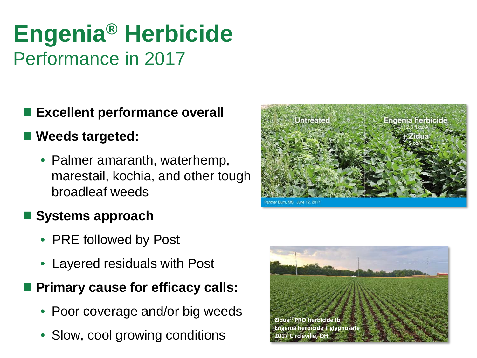### **Engenia® Herbicide**  Performance in 2017

### **Excellent performance overall**

### **Weeds targeted:**

• Palmer amaranth, waterhemp, marestail, kochia, and other tough broadleaf weeds

### **Systems approach**

- PRE followed by Post
- Layered residuals with Post

### **Primary cause for efficacy calls:**

- Poor coverage and/or big weeds
- Slow, cool growing conditions



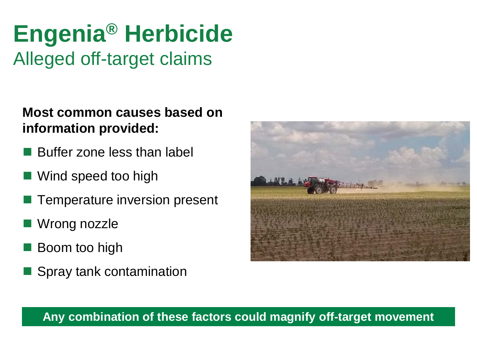### **Engenia® Herbicide**  Alleged off-target claims

**Most common causes based on information provided:** 

- Buffer zone less than label
- Wind speed too high
- Temperature inversion present
- Wrong nozzle
- Boom too high
- Spray tank contamination



#### **Any combination of these factors could magnify off-target movement**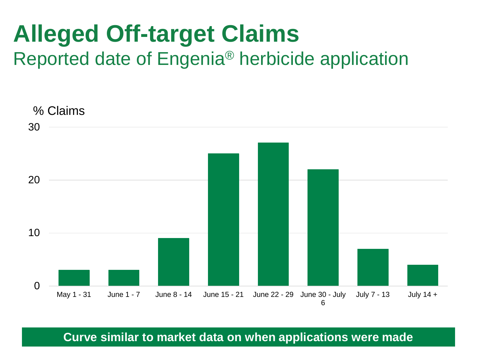# **Alleged Off-target Claims**

Reported date of Engenia® herbicide application



**Curve similar to market data on when applications were made**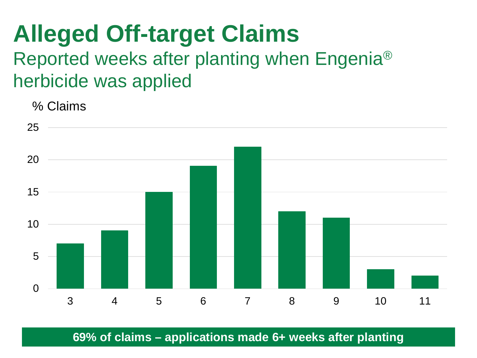# **Alleged Off-target Claims**

### Reported weeks after planting when Engenia® herbicide was applied

% Claims



**69% of claims – applications made 6+ weeks after planting**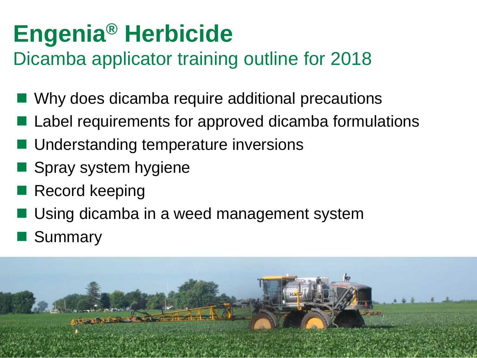# **Engenia® Herbicide**

### Dicamba applicator training outline for 2018

- Why does dicamba require additional precautions
- Label requirements for approved dicamba formulations
- Understanding temperature inversions
- Spray system hygiene
- Record keeping
- Using dicamba in a weed management system
- Summary

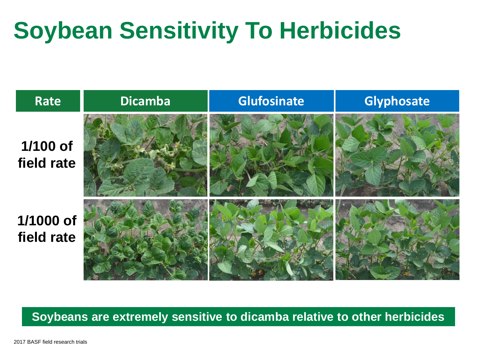# **Soybean Sensitivity To Herbicides**



#### **Soybeans are extremely sensitive to dicamba relative to other herbicides**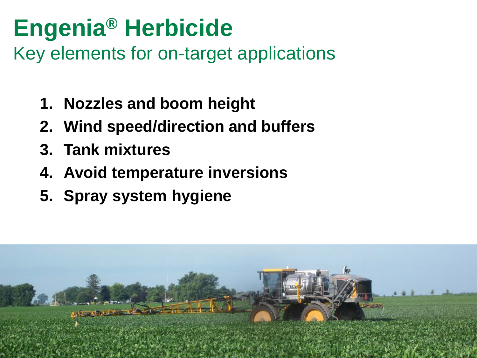# **Engenia® Herbicide**

Key elements for on-target applications

- **1. Nozzles and boom height**
- **2. Wind speed/direction and buffers**
- **3. Tank mixtures**
- **4. Avoid temperature inversions**
- **5. Spray system hygiene**

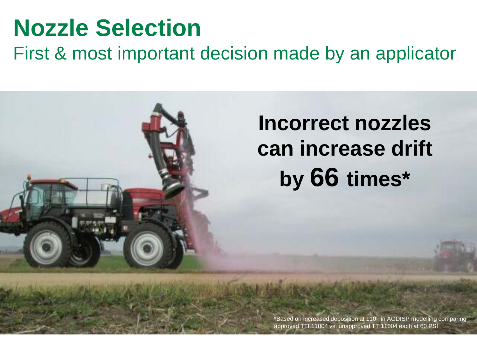## **Nozzle Selection**

First & most important decision made by an applicator

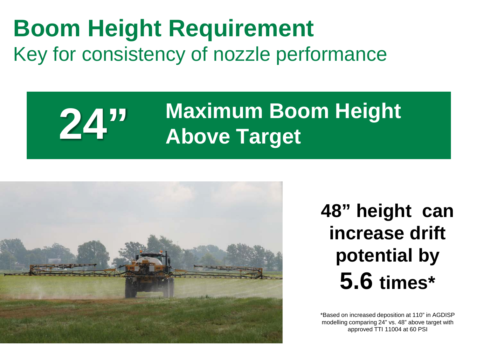### **Boom Height Requirement** Key for consistency of nozzle performance

### **24" Maximum Boom Height Above Target**



**48" height can increase drift potential by 5.6 times\***

\*Based on increased deposition at 110" in AGDISP modelling comparing 24" vs. 48" above target with approved TTI 11004 at 60 PSI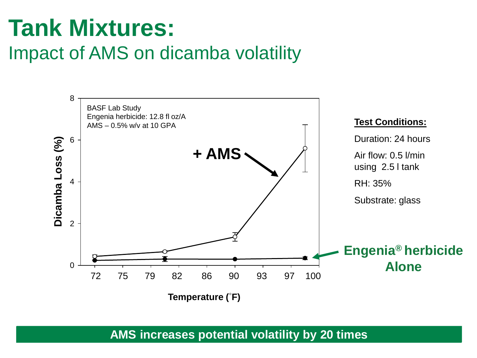## **Tank Mixtures:**

### Impact of AMS on dicamba volatility



**AMS increases potential volatility by 20 times**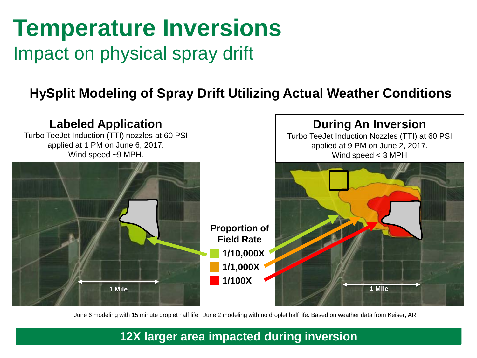### **Temperature Inversions** Impact on physical spray drift

### **HySplit Modeling of Spray Drift Utilizing Actual Weather Conditions**



June 6 modeling with 15 minute droplet half life. June 2 modeling with no droplet half life. Based on weather data from Keiser, AR.

#### **12X larger area impacted during inversion**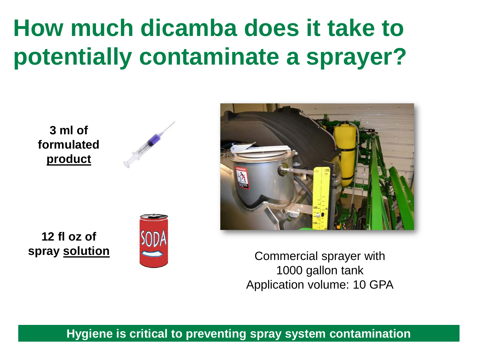# **How much dicamba does it take to potentially contaminate a sprayer?**

**3 ml of formulated product**





**12 fl oz of**



**spray solution**  $\leq$  **Commercial sprayer with** 1000 gallon tank Application volume: 10 GPA

**Hygiene is critical to preventing spray system contamination**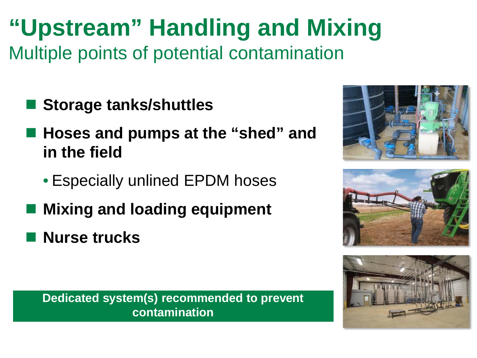### **"Upstream" Handling and Mixing** Multiple points of potential contamination

- Storage tanks/shuttles
- Hoses and pumps at the "shed" and **in the field**
	- Especially unlined EPDM hoses
- **Mixing and loading equipment**
- **Nurse trucks**

**Dedicated system(s) recommended to prevent contamination**





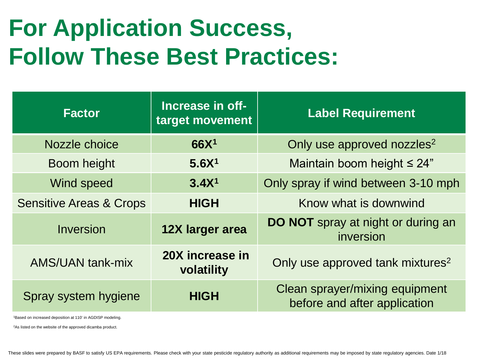## **For Application Success, Follow These Best Practices:**

| <b>Factor</b>                      | Increase in off-<br>target movement | <b>Label Requirement</b>                                       |
|------------------------------------|-------------------------------------|----------------------------------------------------------------|
| Nozzle choice                      | 66X <sup>1</sup>                    | Only use approved nozzles <sup>2</sup>                         |
| Boom height                        | 5.6X <sup>1</sup>                   | Maintain boom height $\leq 24$ "                               |
| Wind speed                         | 3.4X <sup>1</sup>                   | Only spray if wind between 3-10 mph                            |
| <b>Sensitive Areas &amp; Crops</b> | <b>HIGH</b>                         | Know what is downwind                                          |
| Inversion                          | 12X larger area                     | <b>DO NOT</b> spray at night or during an<br>inversion         |
| <b>AMS/UAN tank-mix</b>            | 20X increase in<br>volatility       | Only use approved tank mixtures <sup>2</sup>                   |
| Spray system hygiene               | <b>HIGH</b>                         | Clean sprayer/mixing equipment<br>before and after application |

1Based on increased deposition at 110' in AGDISP modeling.

2As listed on the website of the approved dicamba product.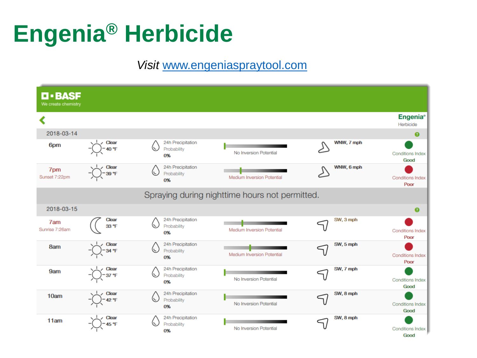# **Engenia® Herbicide**

#### *Visit* [www.engeniaspraytool.com](http://www.engeniaspraytool.com/)

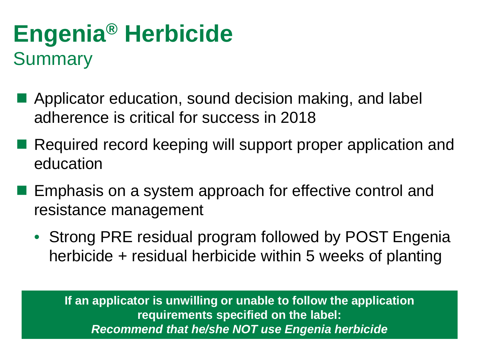### **Engenia® Herbicide Summary**

- **Applicator education, sound decision making, and label** adherence is critical for success in 2018
- Required record keeping will support proper application and education
- **Emphasis on a system approach for effective control and** resistance management
	- Strong PRE residual program followed by POST Engenia herbicide + residual herbicide within 5 weeks of planting

**If an applicator is unwilling or unable to follow the application requirements specified on the label:** *Recommend that he/she NOT use Engenia herbicide*